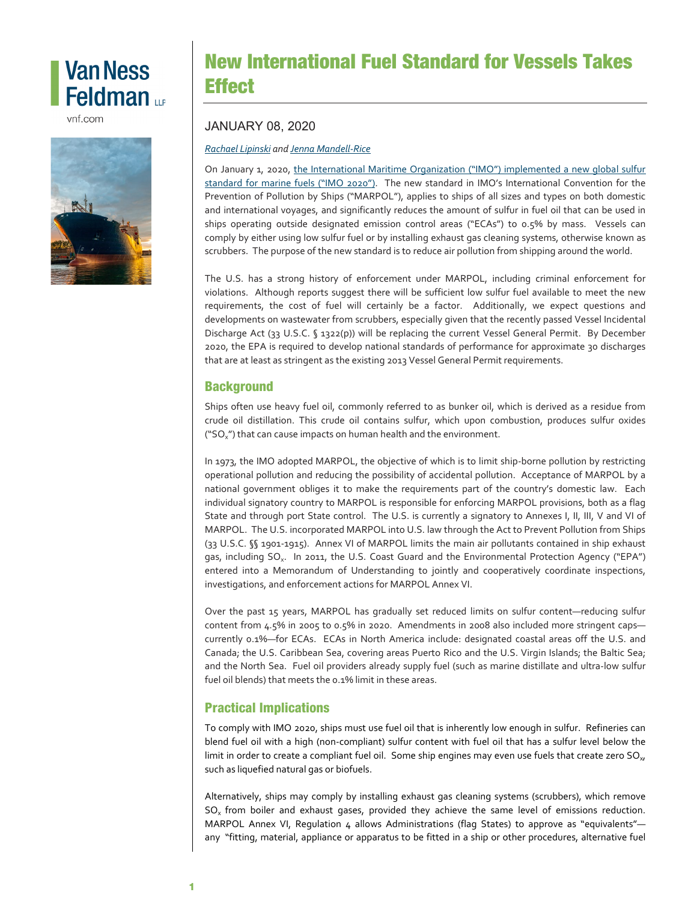# **Van Ness** Feldman up

vnf.com



## New International Fuel Standard for Vessels Takes **Effect**

#### JANUARY 08, 2020

*[Rachael Lipinski](https://www.vnf.com/rlipinski) and [Jenna Mandell-Rice](https://www.vnf.com/jmandell-rice)*

On January 1, 2020, [the International Maritime Organization \("IMO"\) implemented a new global sulfur](http://www.imo.org/en/MediaCentre/HotTopics/Pages/Sulphur-2020.aspx)  [standard for marine fuels \("IMO 2020"\).](http://www.imo.org/en/MediaCentre/HotTopics/Pages/Sulphur-2020.aspx) The new standard in IMO's International Convention for the Prevention of Pollution by Ships ("MARPOL"), applies to ships of all sizes and types on both domestic and international voyages, and significantly reduces the amount of sulfur in fuel oil that can be used in ships operating outside designated emission control areas ("ECAs") to 0.5% by mass. Vessels can comply by either using low sulfur fuel or by installing exhaust gas cleaning systems, otherwise known as scrubbers. The purpose of the new standard is to reduce air pollution from shipping around the world.

The U.S. has a strong history of enforcement under MARPOL, including criminal enforcement for violations. Although reports suggest there will be sufficient low sulfur fuel available to meet the new requirements, the cost of fuel will certainly be a factor. Additionally, we expect questions and developments on wastewater from scrubbers, especially given that the recently passed Vessel Incidental Discharge Act (33 U.S.C. § 1322(p)) will be replacing the current Vessel General Permit. By December 2020, the EPA is required to develop national standards of performance for approximate 30 discharges that are at least as stringent as the existing 2013 Vessel General Permit requirements.

#### **Background**

Ships often use heavy fuel oil, commonly referred to as bunker oil, which is derived as a residue from crude oil distillation. This crude oil contains sulfur, which upon combustion, produces sulfur oxides ("SO<sub>x</sub>") that can cause impacts on human health and the environment.

In 1973, the IMO adopted MARPOL, the objective of which is to limit ship-borne pollution by restricting operational pollution and reducing the possibility of accidental pollution. Acceptance of MARPOL by a national government obliges it to make the requirements part of the country's domestic law. Each individual signatory country to MARPOL is responsible for enforcing MARPOL provisions, both as a flag State and through port State control. The U.S. is currently a signatory to Annexes I, II, III, V and VI of MARPOL. The U.S. incorporated MARPOL into U.S. law through the Act to Prevent Pollution from Ships (33 U.S.C. §§ 1901-1915). Annex VI of MARPOL limits the main air pollutants contained in ship exhaust gas, including SO<sub>x</sub>. In 2011, the U.S. Coast Guard and the Environmental Protection Agency ("EPA") entered into a Memorandum of Understanding to jointly and cooperatively coordinate inspections, investigations, and enforcement actions for MARPOL Annex VI.

Over the past 15 years, MARPOL has gradually set reduced limits on sulfur content—reducing sulfur content from 4.5% in 2005 to 0.5% in 2020. Amendments in 2008 also included more stringent caps currently 0.1%—for ECAs. ECAs in North America include: designated coastal areas off the U.S. and Canada; the U.S. Caribbean Sea, covering areas Puerto Rico and the U.S. Virgin Islands; the Baltic Sea; and the North Sea. Fuel oil providers already supply fuel (such as marine distillate and ultra-low sulfur fuel oil blends) that meets the 0.1% limit in these areas.

### Practical Implications

To comply with IMO 2020, ships must use fuel oil that is inherently low enough in sulfur. Refineries can blend fuel oil with a high (non-compliant) sulfur content with fuel oil that has a sulfur level below the limit in order to create a compliant fuel oil. Some ship engines may even use fuels that create zero  $SO_{xx}$ such as liquefied natural gas or biofuels.

Alternatively, ships may comply by installing exhaust gas cleaning systems (scrubbers), which remove  $SO<sub>x</sub>$  from boiler and exhaust gases, provided they achieve the same level of emissions reduction. MARPOL Annex VI, Requlation 4 allows Administrations (flag States) to approve as "equivalents"any "fitting, material, appliance or apparatus to be fitted in a ship or other procedures, alternative fuel